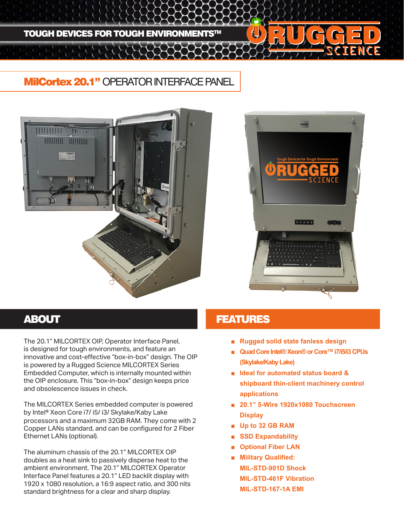

## **MilCortex 20.1" OPERATOR INTERFACE PANEL**





The 20.1" MILCORTEX OIP, Operator Interface Panel, is designed for tough environments, and feature an innovative and cost-effective "box-in-box" design. The OIP is powered by a Rugged Science MILCORTEX Series Embedded Computer, which is internally mounted within the OIP enclosure. This "box-in-box" design keeps price and obsolescence issues in check.

The MILCORTEX Series embedded computer is powered by Intel® Xeon Core i7/ i5/ i3/ Skylake/Kaby Lake processors and a maximum 32GB RAM. They come with 2 Copper LANs standard, and can be configured for 2 Fiber Ethernet LANs (optional).

The aluminum chassis of the 20.1" MILCORTEX OIP doubles as a heat sink to passively disperse heat to the ambient environment. The 20.1" MILCORTEX Operator Interface Panel features a 20.1" LED backlit display with 1920 x 1080 resolution, a 16:9 aspect ratio, and 300 nits standard brightness for a clear and sharp display.

## **ABOUT AREA EXECUTED ABOUT ABOUT ABOUT A LIMIT AND LIMIT ASSAULT**

- **Rugged solid state fanless design**
- **Quad Core Intel® Xeon® or Core™ i7/i5/i3 CPUs (Skylake/Kaby Lake)**
- **Ideal for automated status board & shipboard thin-client machinery control applications**
- **20.1" 5-Wire 1920x1080 Touchscreen Display**
- **Up to 32 GB RAM**
- **SSD Expandability**
- **Optional Fiber LAN**
- **Military Qualified: MIL-STD-901D Shock MIL-STD-461F Vibration MIL-STD-167-1A EMI**